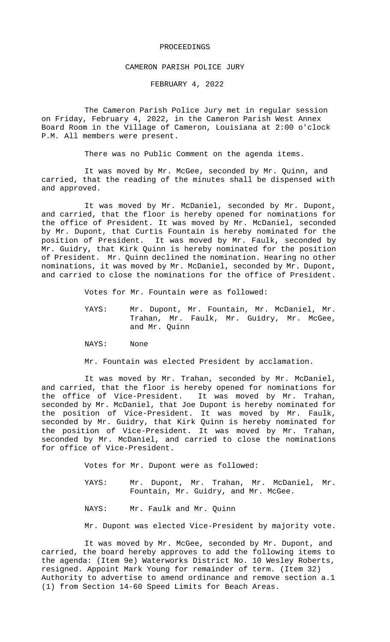## PROCEEDINGS

## CAMERON PARISH POLICE JURY

FEBRUARY 4, 2022

The Cameron Parish Police Jury met in regular session on Friday, February 4, 2022, in the Cameron Parish West Annex Board Room in the Village of Cameron, Louisiana at 2:00 o'clock P.M. All members were present.

There was no Public Comment on the agenda items.

It was moved by Mr. McGee, seconded by Mr. Quinn, and carried, that the reading of the minutes shall be dispensed with and approved.

It was moved by Mr. McDaniel, seconded by Mr. Dupont, and carried, that the floor is hereby opened for nominations for the office of President. It was moved by Mr. McDaniel, seconded by Mr. Dupont, that Curtis Fountain is hereby nominated for the position of President. It was moved by Mr. Faulk, seconded by Mr. Guidry, that Kirk Quinn is hereby nominated for the position of President. Mr. Quinn declined the nomination. Hearing no other nominations, it was moved by Mr. McDaniel, seconded by Mr. Dupont, and carried to close the nominations for the office of President.

Votes for Mr. Fountain were as followed:

- YAYS: Mr. Dupont, Mr. Fountain, Mr. McDaniel, Mr. Trahan, Mr. Faulk, Mr. Guidry, Mr. McGee, and Mr. Quinn
- NAYS: None

Mr. Fountain was elected President by acclamation.

It was moved by Mr. Trahan, seconded by Mr. McDaniel, and carried, that the floor is hereby opened for nominations for the office of Vice-President. It was moved by Mr. Trahan, seconded by Mr. McDaniel, that Joe Dupont is hereby nominated for the position of Vice-President. It was moved by Mr. Faulk, seconded by Mr. Guidry, that Kirk Quinn is hereby nominated for the position of Vice-President. It was moved by Mr. Trahan, seconded by Mr. McDaniel, and carried to close the nominations for office of Vice-President.

Votes for Mr. Dupont were as followed:

- YAYS: Mr. Dupont, Mr. Trahan, Mr. McDaniel, Mr. Fountain, Mr. Guidry, and Mr. McGee.
- NAYS: Mr. Faulk and Mr. Quinn

Mr. Dupont was elected Vice-President by majority vote.

It was moved by Mr. McGee, seconded by Mr. Dupont, and carried, the board hereby approves to add the following items to the agenda: (Item 9e) Waterworks District No. 10 Wesley Roberts, resigned. Appoint Mark Young for remainder of term. (Item 32) Authority to advertise to amend ordinance and remove section a.1 (1) from Section 14-60 Speed Limits for Beach Areas.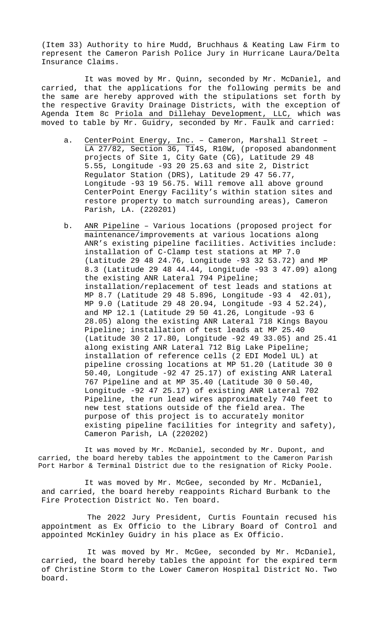(Item 33) Authority to hire Mudd, Bruchhaus & Keating Law Firm to represent the Cameron Parish Police Jury in Hurricane Laura/Delta Insurance Claims.

It was moved by Mr. Quinn, seconded by Mr. McDaniel, and carried, that the applications for the following permits be and the same are hereby approved with the stipulations set forth by the respective Gravity Drainage Districts, with the exception of Agenda Item 8c Priola and Dillehay Development, LLC, which was moved to table by Mr. Guidry, seconded by Mr. Faulk and carried:

- a. CenterPoint Energy, Inc. Cameron, Marshall Street -LA 27/82, Section 36, T14S, R10W, (proposed abandonment projects of Site 1, City Gate (CG), Latitude 29 48 5.55, Longitude -93 20 25.63 and site 2, District Regulator Station (DRS), Latitude 29 47 56.77, Longitude -93 19 56.75. Will remove all above ground CenterPoint Energy Facility's within station sites and restore property to match surrounding areas), Cameron Parish, LA. (220201)
- b. ANR Pipeline Various locations (proposed project for maintenance/improvements at various locations along ANR's existing pipeline facilities. Activities include: installation of C-Clamp test stations at MP 7.0 (Latitude 29 48 24.76, Longitude -93 32 53.72) and MP 8.3 (Latitude 29 48 44.44, Longitude -93 3 47.09) along the existing ANR Lateral 794 Pipeline; installation/replacement of test leads and stations at MP 8.7 (Latitude 29 48 5.896, Longitude -93 4 42.01), MP 9.0 (Latitude 29 48 20.94, Longitude -93 4 52.24), and MP 12.1 (Latitude 29 50 41.26, Longitude -93 6 28.05) along the existing ANR Lateral 718 Kings Bayou Pipeline; installation of test leads at MP 25.40 (Latitude 30 2 17.80, Longitude -92 49 33.05) and 25.41 along existing ANR Lateral 712 Big Lake Pipeline; installation of reference cells (2 EDI Model UL) at pipeline crossing locations at MP 51.20 (Latitude 30 0 50.40, Longitude -92 47 25.17) of existing ANR Lateral 767 Pipeline and at MP 35.40 (Latitude 30 0 50.40, Longitude -92 47 25.17) of existing ANR Lateral 702 Pipeline, the run lead wires approximately 740 feet to new test stations outside of the field area. The purpose of this project is to accurately monitor existing pipeline facilities for integrity and safety), Cameron Parish, LA (220202)

It was moved by Mr. McDaniel, seconded by Mr. Dupont, and carried, the board hereby tables the appointment to the Cameron Parish Port Harbor & Terminal District due to the resignation of Ricky Poole.

It was moved by Mr. McGee, seconded by Mr. McDaniel, and carried, the board hereby reappoints Richard Burbank to the Fire Protection District No. Ten board.

The 2022 Jury President, Curtis Fountain recused his appointment as Ex Officio to the Library Board of Control and appointed McKinley Guidry in his place as Ex Officio.

It was moved by Mr. McGee, seconded by Mr. McDaniel, carried, the board hereby tables the appoint for the expired term of Christine Storm to the Lower Cameron Hospital District No. Two board.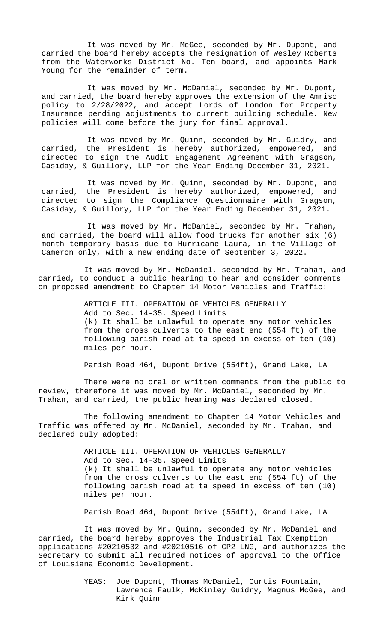It was moved by Mr. McGee, seconded by Mr. Dupont, and carried the board hereby accepts the resignation of Wesley Roberts from the Waterworks District No. Ten board, and appoints Mark Young for the remainder of term.

It was moved by Mr. McDaniel, seconded by Mr. Dupont, and carried, the board hereby approves the extension of the Amrisc policy to 2/28/2022, and accept Lords of London for Property Insurance pending adjustments to current building schedule. New policies will come before the jury for final approval.

It was moved by Mr. Quinn, seconded by Mr. Guidry, and carried, the President is hereby authorized, empowered, and directed to sign the Audit Engagement Agreement with Gragson, Casiday, & Guillory, LLP for the Year Ending December 31, 2021.

It was moved by Mr. Quinn, seconded by Mr. Dupont, and carried, the President is hereby authorized, empowered, and directed to sign the Compliance Questionnaire with Gragson, Casiday, & Guillory, LLP for the Year Ending December 31, 2021.

It was moved by Mr. McDaniel, seconded by Mr. Trahan, and carried, the board will allow food trucks for another six (6) month temporary basis due to Hurricane Laura, in the Village of Cameron only, with a new ending date of September 3, 2022.

It was moved by Mr. McDaniel, seconded by Mr. Trahan, and carried, to conduct a public hearing to hear and consider comments on proposed amendment to Chapter 14 Motor Vehicles and Traffic:

> ARTICLE III. OPERATION OF VEHICLES GENERALLY Add to Sec. 14-35. Speed Limits (k) It shall be unlawful to operate any motor vehicles from the cross culverts to the east end (554 ft) of the following parish road at ta speed in excess of ten (10) miles per hour.

Parish Road 464, Dupont Drive (554ft), Grand Lake, LA

There were no oral or written comments from the public to review, therefore it was moved by Mr. McDaniel, seconded by Mr. Trahan, and carried, the public hearing was declared closed.

The following amendment to Chapter 14 Motor Vehicles and Traffic was offered by Mr. McDaniel, seconded by Mr. Trahan, and declared duly adopted:

> ARTICLE III. OPERATION OF VEHICLES GENERALLY Add to Sec. 14-35. Speed Limits (k) It shall be unlawful to operate any motor vehicles from the cross culverts to the east end (554 ft) of the following parish road at ta speed in excess of ten (10) miles per hour.

Parish Road 464, Dupont Drive (554ft), Grand Lake, LA

It was moved by Mr. Quinn, seconded by Mr. McDaniel and carried, the board hereby approves the Industrial Tax Exemption applications #20210532 and #20210516 of CP2 LNG, and authorizes the Secretary to submit all required notices of approval to the Office of Louisiana Economic Development.

> YEAS: Joe Dupont, Thomas McDaniel, Curtis Fountain, Lawrence Faulk, McKinley Guidry, Magnus McGee, and Kirk Quinn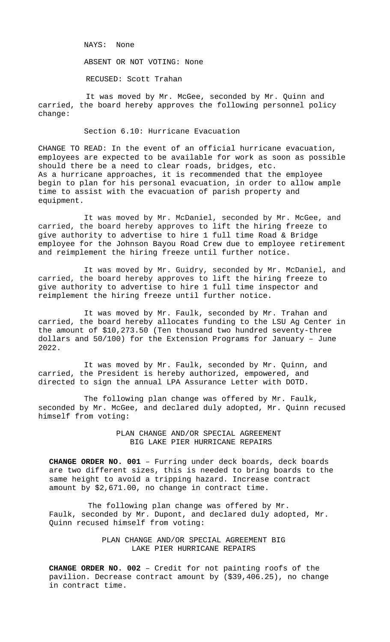NAYS: None

ABSENT OR NOT VOTING: None

RECUSED: Scott Trahan

It was moved by Mr. McGee, seconded by Mr. Quinn and carried, the board hereby approves the following personnel policy change:

Section 6.10: Hurricane Evacuation

CHANGE TO READ: In the event of an official hurricane evacuation, employees are expected to be available for work as soon as possible should there be a need to clear roads, bridges, etc. As a hurricane approaches, it is recommended that the employee begin to plan for his personal evacuation, in order to allow ample time to assist with the evacuation of parish property and equipment.

It was moved by Mr. McDaniel, seconded by Mr. McGee, and carried, the board hereby approves to lift the hiring freeze to give authority to advertise to hire 1 full time Road & Bridge employee for the Johnson Bayou Road Crew due to employee retirement and reimplement the hiring freeze until further notice.

It was moved by Mr. Guidry, seconded by Mr. McDaniel, and carried, the board hereby approves to lift the hiring freeze to give authority to advertise to hire 1 full time inspector and reimplement the hiring freeze until further notice.

It was moved by Mr. Faulk, seconded by Mr. Trahan and carried, the board hereby allocates funding to the LSU Ag Center in the amount of \$10,273.50 (Ten thousand two hundred seventy-three dollars and 50/100) for the Extension Programs for January – June 2022.

It was moved by Mr. Faulk, seconded by Mr. Quinn, and carried, the President is hereby authorized, empowered, and directed to sign the annual LPA Assurance Letter with DOTD.

The following plan change was offered by Mr. Faulk, seconded by Mr. McGee, and declared duly adopted, Mr. Quinn recused himself from voting:

> PLAN CHANGE AND/OR SPECIAL AGREEMENT BIG LAKE PIER HURRICANE REPAIRS

**CHANGE ORDER NO. 001** – Furring under deck boards, deck boards are two different sizes, this is needed to bring boards to the same height to avoid a tripping hazard. Increase contract amount by \$2,671.00, no change in contract time.

The following plan change was offered by Mr. Faulk, seconded by Mr. Dupont, and declared duly adopted, Mr. Quinn recused himself from voting:

> PLAN CHANGE AND/OR SPECIAL AGREEMENT BIG LAKE PIER HURRICANE REPAIRS

**CHANGE ORDER NO. 002** – Credit for not painting roofs of the pavilion. Decrease contract amount by (\$39,406.25), no change in contract time.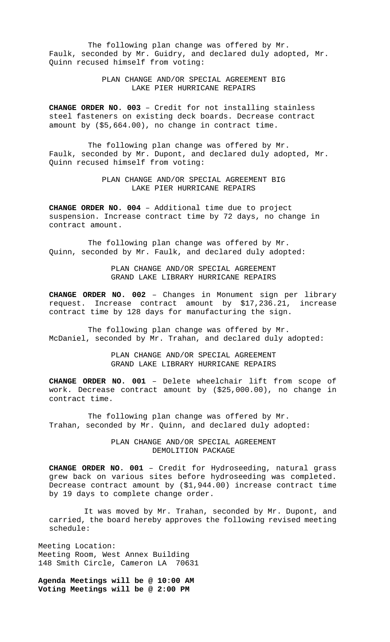The following plan change was offered by Mr. Faulk, seconded by Mr. Guidry, and declared duly adopted, Mr. Quinn recused himself from voting:

> PLAN CHANGE AND/OR SPECIAL AGREEMENT BIG LAKE PIER HURRICANE REPAIRS

**CHANGE ORDER NO. 003** – Credit for not installing stainless steel fasteners on existing deck boards. Decrease contract amount by (\$5,664.00), no change in contract time.

The following plan change was offered by Mr. Faulk, seconded by Mr. Dupont, and declared duly adopted, Mr. Quinn recused himself from voting:

> PLAN CHANGE AND/OR SPECIAL AGREEMENT BIG LAKE PIER HURRICANE REPAIRS

**CHANGE ORDER NO. 004** – Additional time due to project suspension. Increase contract time by 72 days, no change in contract amount.

The following plan change was offered by Mr. Quinn, seconded by Mr. Faulk, and declared duly adopted:

> PLAN CHANGE AND/OR SPECIAL AGREEMENT GRAND LAKE LIBRARY HURRICANE REPAIRS

**CHANGE ORDER NO. 002** - Changes in Monument sign per library request. Increase contract amount by \$17,236.21, increase request. Increase contract amount by  $$17,236.21,$ contract time by 128 days for manufacturing the sign.

The following plan change was offered by Mr. McDaniel, seconded by Mr. Trahan, and declared duly adopted:

> PLAN CHANGE AND/OR SPECIAL AGREEMENT GRAND LAKE LIBRARY HURRICANE REPAIRS

**CHANGE ORDER NO. 001** – Delete wheelchair lift from scope of work. Decrease contract amount by (\$25,000.00), no change in contract time.

The following plan change was offered by Mr. Trahan, seconded by Mr. Quinn, and declared duly adopted:

> PLAN CHANGE AND/OR SPECIAL AGREEMENT DEMOLITION PACKAGE

**CHANGE ORDER NO. 001** – Credit for Hydroseeding, natural grass grew back on various sites before hydroseeding was completed. Decrease contract amount by (\$1,944.00) increase contract time by 19 days to complete change order.

It was moved by Mr. Trahan, seconded by Mr. Dupont, and carried, the board hereby approves the following revised meeting schedule:

Meeting Location: Meeting Room, West Annex Building 148 Smith Circle, Cameron LA 70631

**Agenda Meetings will be @ 10:00 AM Voting Meetings will be @ 2:00 PM**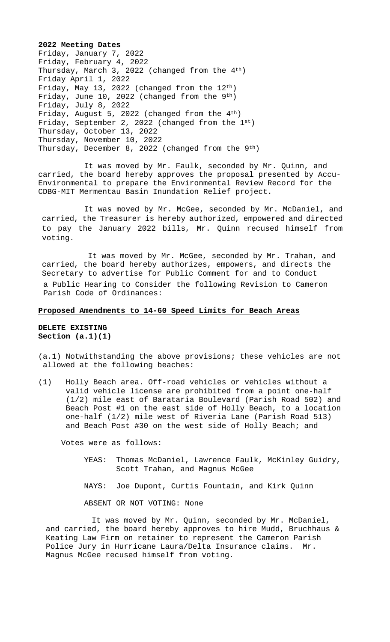**2022 Meeting Dates**  Friday, January 7, 2022 Friday, February 4, 2022 Thursday, March 3, 2022 (changed from the 4th) Friday April 1, 2022 Friday, May 13, 2022 (changed from the 12th) Friday, June 10, 2022 (changed from the 9<sup>th</sup>) Friday, July 8, 2022 Friday, August 5, 2022 (changed from the 4th) Friday, September 2, 2022 (changed from the 1st) Thursday, October 13, 2022 Thursday, November 10, 2022 Thursday, December 8, 2022 (changed from the 9<sup>th</sup>)

It was moved by Mr. Faulk, seconded by Mr. Quinn, and carried, the board hereby approves the proposal presented by Accu-Environmental to prepare the Environmental Review Record for the CDBG-MIT Mermentau Basin Inundation Relief project.

It was moved by Mr. McGee, seconded by Mr. McDaniel, and carried, the Treasurer is hereby authorized, empowered and directed to pay the January 2022 bills, Mr. Quinn recused himself from voting.

It was moved by Mr. McGee, seconded by Mr. Trahan, and carried, the board hereby authorizes, empowers, and directs the Secretary to advertise for Public Comment for and to Conduct a Public Hearing to Consider the following Revision to Cameron Parish Code of Ordinances:

## **Proposed Amendments to 14-60 Speed Limits for Beach Areas**

**DELETE EXISTING Section (a.1)(1)**

(a.1) Notwithstanding the above provisions; these vehicles are not allowed at the following beaches:

(1) Holly Beach area. Off-road vehicles or vehicles without a valid vehicle license are prohibited from a point one-half (1/2) mile east of Barataria Boulevard (Parish Road 502) and Beach Post #1 on the east side of Holly Beach, to a location one-half (1/2) mile west of Riveria Lane (Parish Road 513) and Beach Post #30 on the west side of Holly Beach; and

Votes were as follows:

- YEAS: Thomas McDaniel, Lawrence Faulk, McKinley Guidry, Scott Trahan, and Magnus McGee
- NAYS: Joe Dupont, Curtis Fountain, and Kirk Quinn

ABSENT OR NOT VOTING: None

It was moved by Mr. Quinn, seconded by Mr. McDaniel, and carried, the board hereby approves to hire Mudd, Bruchhaus & Keating Law Firm on retainer to represent the Cameron Parish Police Jury in Hurricane Laura/Delta Insurance claims. Mr. Magnus McGee recused himself from voting.